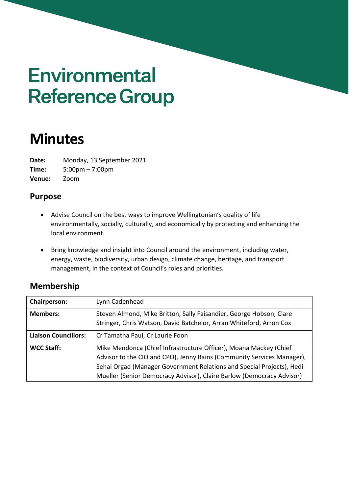# **Environmental Reference Group**

# **Minutes**

**Date:** Monday, 13 September 2021

**Time:** 5:00pm – 7:00pm **Venue:** Zoom

## **Purpose**

- Advise Council on the best ways to improve Wellingtonian's quality of life environmentally, socially, culturally, and economically by protecting and enhancing the local environment.
- Bring knowledge and insight into Council around the environment, including water, energy, waste, biodiversity, urban design, climate change, heritage, and transport management, in the context of Council's roles and priorities.

# **Membership**

| Chairperson:                | Lynn Cadenhead                                                                                                                                                                                                                                                                                |
|-----------------------------|-----------------------------------------------------------------------------------------------------------------------------------------------------------------------------------------------------------------------------------------------------------------------------------------------|
| <b>Members:</b>             | Steven Almond, Mike Britton, Sally Faisandier, George Hobson, Clare<br>Stringer, Chris Watson, David Batchelor, Arran Whiteford, Arron Cox                                                                                                                                                    |
| <b>Liaison Councillors:</b> | Cr Tamatha Paul, Cr Laurie Foon                                                                                                                                                                                                                                                               |
| <b>WCC Staff:</b>           | Mike Mendonca (Chief Infrastructure Officer), Moana Mackey (Chief<br>Advisor to the CIO and CPO), Jenny Rains (Community Services Manager),<br>Sehai Orgad (Manager Government Relations and Special Projects), Hedi<br>Mueller (Senior Democracy Advisor), Claire Barlow (Democracy Advisor) |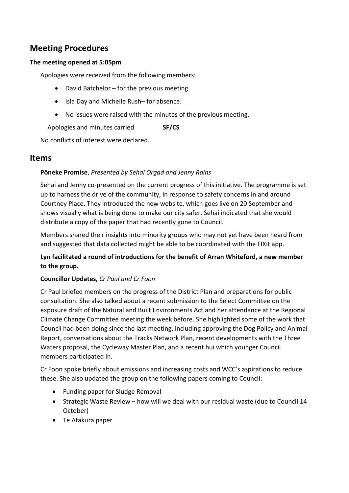# **Meeting Procedures**

#### **The meeting opened at 5:05pm**

Apologies were received from the following members:

- David Batchelor for the previous meeting
- Isla Day and Michelle Rush– for absence.
- No issues were raised with the minutes of the previous meeting.

Apologies and minutes carried **SF/CS**

No conflicts of interest were declared.

#### **Items**

#### **Pōneke Promise**, *Presented by Sehai Orgad and Jenny Rains*

Sehai and Jenny co-presented on the current progress of this initiative. The programme is set up to harness the drive of the community, in response to safety concerns in and around Courtney Place. They introduced the new website, which goes live on 20 September and shows visually what is being done to make our city safer. Sehai indicated that she would distribute a copy of the paper that had recently gone to Council.

Members shared their insights into minority groups who may not yet have been heard from and suggested that data collected might be able to be coordinated with the FIXit app.

#### **Lyn facilitated a round of introductions for the benefit of Arran Whiteford, a new member to the group.**

#### **Councillor Updates,** *Cr Paul and Cr Foon*

Cr Paul briefed members on the progress of the District Plan and preparations for public consultation. She also talked about a recent submission to the Select Committee on the exposure draft of the Natural and Built Environments Act and her attendance at the Regional Climate Change Committee meeting the week before. She highlighted some of the work that Council had been doing since the last meeting, including approving the Dog Policy and Animal Report, conversations about the Tracks Network Plan, recent developments with the Three Waters proposal, the Cycleway Master Plan, and a recent hui which younger Council members participated in.

Cr Foon spoke briefly about emissions and increasing costs and WCC's aspirations to reduce these. She also updated the group on the following papers coming to Council:

- Funding paper for Sludge Removal
- Strategic Waste Review how will we deal with our residual waste (due to Council 14 October)
- Te Atakura paper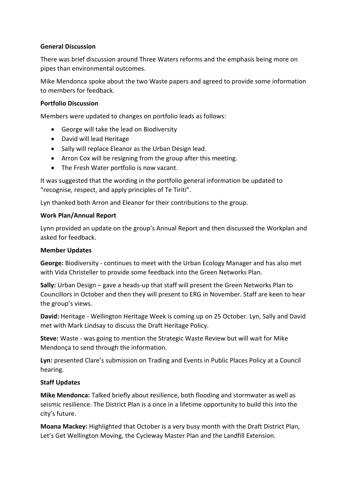#### **General Discussion**

There was brief discussion around Three Waters reforms and the emphasis being more on pipes than environmental outcomes.

Mike Mendonca spoke about the two Waste papers and agreed to provide some information to members for feedback.

#### **Portfolio Discussion**

Members were updated to changes on portfolio leads as follows:

- George will take the lead on Biodiversity
- David will lead Heritage
- Sally will replace Eleanor as the Urban Design lead.
- Arron Cox will be resigning from the group after this meeting.
- The Fresh Water portfolio is now vacant.

It was suggested that the wording in the portfolio general information be updated to "recognise, respect, and apply principles of Te Tiriti".

Lyn thanked both Arron and Eleanor for their contributions to the group.

#### **Work Plan/Annual Report**

Lynn provided an update on the group's Annual Report and then discussed the Workplan and asked for feedback.

#### **Member Updates**

**George:** Biodiversity - continues to meet with the Urban Ecology Manager and has also met with Vida Christeller to provide some feedback into the Green Networks Plan.

**Sally:** Urban Design – gave a heads-up that staff will present the Green Networks Plan to Councillors in October and then they will present to ERG in November. Staff are keen to hear the group's views.

**David:** Heritage - Wellington Heritage Week is coming up on 25 October. Lyn, Sally and David met with Mark Lindsay to discuss the Draft Heritage Policy.

**Steve:** Waste - was going to mention the Strategic Waste Review but will wait for Mike Mendonça to send through the information.

**Lyn:** presented Clare's submission on Trading and Events in Public Places Policy at a Council hearing.

#### **Staff Updates**

**Mike Mendonca:** Talked briefly about **r**esilience, both flooding and stormwater as well as seismic resilience. The District Plan is a once in a lifetime opportunity to build this into the city's future.

**Moana Mackey:** Highlighted that October is a very busy month with the Draft District Plan, Let's Get Wellington Moving, the Cycleway Master Plan and the Landfill Extension.